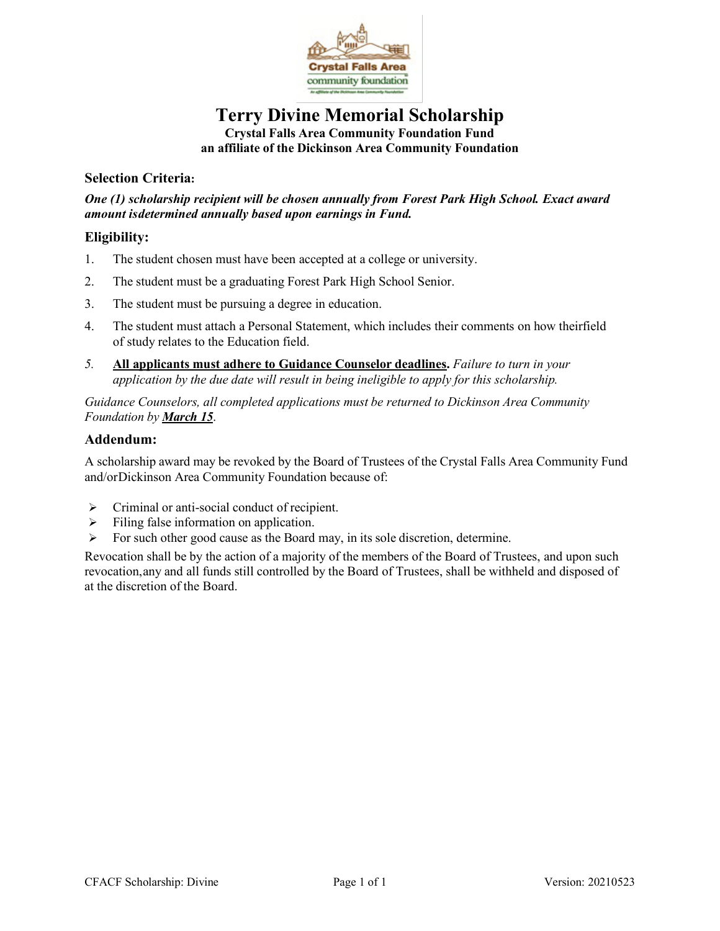

## **Terry Divine Memorial Scholarship Crystal Falls Area Community Foundation Fund an affiliate of the Dickinson Area Community Foundation**

#### **Selection Criteria:**

*One (1) scholarship recipient will be chosen annually from Forest Park High School. Exact award amount isdetermined annually based upon earnings in Fund.*

#### **Eligibility:**

- 1. The student chosen must have been accepted at a college or university.
- 2. The student must be a graduating Forest Park High School Senior.
- 3. The student must be pursuing a degree in education.
- 4. The student must attach a Personal Statement, which includes their comments on how theirfield of study relates to the Education field.
- *5.* **All applicants must adhere to Guidance Counselor deadlines.** *Failure to turn in your application by the due date will result in being ineligible to apply for this scholarship.*

*Guidance Counselors, all completed applications must be returned to Dickinson Area Community Foundation by March 15*.

#### **Addendum:**

A scholarship award may be revoked by the Board of Trustees of the Crystal Falls Area Community Fund and/orDickinson Area Community Foundation because of:

- $\triangleright$  Criminal or anti-social conduct of recipient.
- $\triangleright$  Filing false information on application.
- $\triangleright$  For such other good cause as the Board may, in its sole discretion, determine.

Revocation shall be by the action of a majority of the members of the Board of Trustees, and upon such revocation,any and all funds still controlled by the Board of Trustees, shall be withheld and disposed of at the discretion of the Board.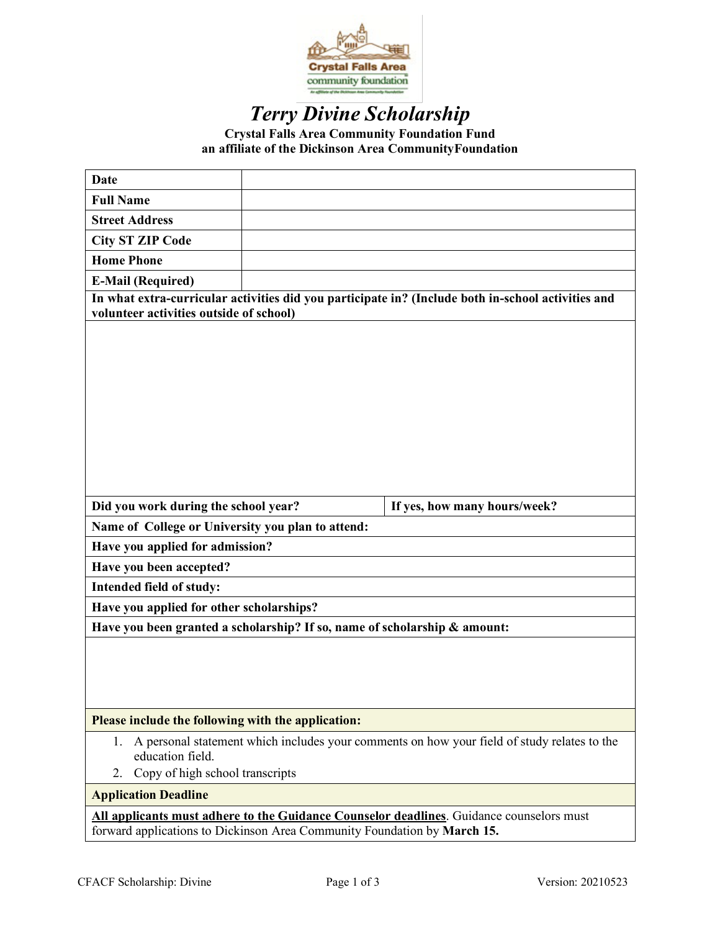

# *Terry Divine Scholarship*

**Crystal Falls Area Community Foundation Fund an affiliate of the Dickinson Area CommunityFoundation**

| <b>Date</b>                                                                                                                                                          |  |                              |  |
|----------------------------------------------------------------------------------------------------------------------------------------------------------------------|--|------------------------------|--|
| <b>Full Name</b>                                                                                                                                                     |  |                              |  |
| <b>Street Address</b>                                                                                                                                                |  |                              |  |
| <b>City ST ZIP Code</b>                                                                                                                                              |  |                              |  |
| <b>Home Phone</b>                                                                                                                                                    |  |                              |  |
| <b>E-Mail (Required)</b>                                                                                                                                             |  |                              |  |
| In what extra-curricular activities did you participate in? (Include both in-school activities and<br>volunteer activities outside of school)                        |  |                              |  |
|                                                                                                                                                                      |  |                              |  |
| Did you work during the school year?                                                                                                                                 |  | If yes, how many hours/week? |  |
| Name of College or University you plan to attend:                                                                                                                    |  |                              |  |
| Have you applied for admission?                                                                                                                                      |  |                              |  |
| Have you been accepted?                                                                                                                                              |  |                              |  |
| Intended field of study:                                                                                                                                             |  |                              |  |
| Have you applied for other scholarships?                                                                                                                             |  |                              |  |
| Have you been granted a scholarship? If so, name of scholarship & amount:                                                                                            |  |                              |  |
|                                                                                                                                                                      |  |                              |  |
| Please include the following with the application:                                                                                                                   |  |                              |  |
| A personal statement which includes your comments on how your field of study relates to the<br>1.<br>education field.<br>Copy of high school transcripts<br>2.       |  |                              |  |
| <b>Application Deadline</b>                                                                                                                                          |  |                              |  |
| All applicants must adhere to the Guidance Counselor deadlines. Guidance counselors must<br>forward applications to Dickinson Area Community Foundation by March 15. |  |                              |  |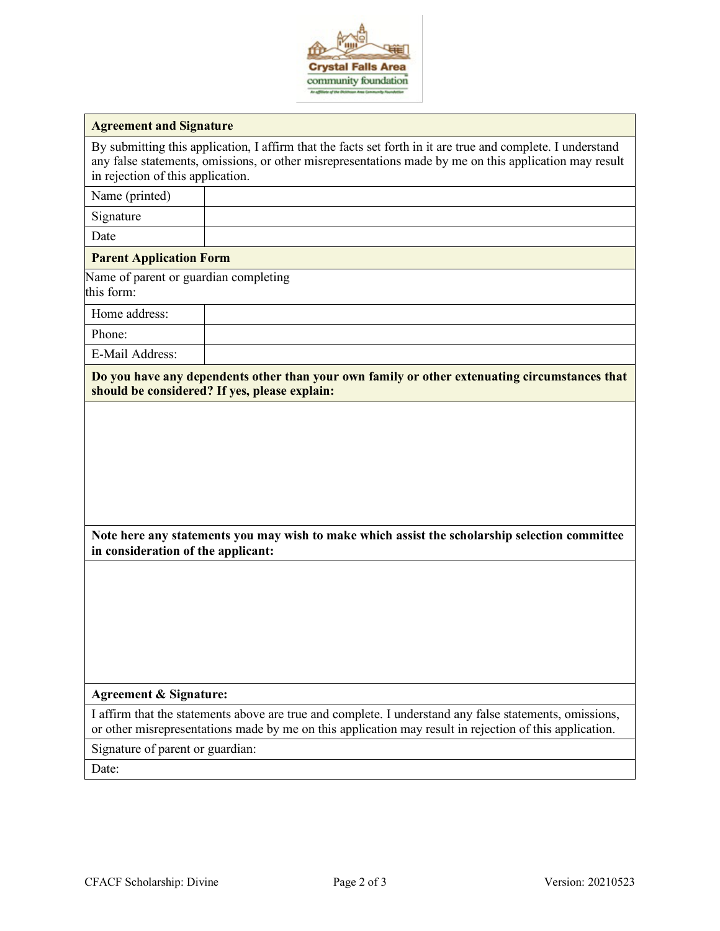

By submitting this application, I affirm that the facts set forth in it are true and complete. I understand any false statements, omissions, or other misrepresentations made by me on this application may result in rejection of this application.

| Name (printed)                                      |                                                                                                                                                                                                                    |
|-----------------------------------------------------|--------------------------------------------------------------------------------------------------------------------------------------------------------------------------------------------------------------------|
| Signature                                           |                                                                                                                                                                                                                    |
| Date                                                |                                                                                                                                                                                                                    |
| <b>Parent Application Form</b>                      |                                                                                                                                                                                                                    |
| Name of parent or guardian completing<br>this form: |                                                                                                                                                                                                                    |
| Home address:                                       |                                                                                                                                                                                                                    |
| Phone:                                              |                                                                                                                                                                                                                    |
| E-Mail Address:                                     |                                                                                                                                                                                                                    |
|                                                     | Do you have any dependents other than your own family or other extenuating circumstances that<br>should be considered? If yes, please explain:                                                                     |
|                                                     |                                                                                                                                                                                                                    |
|                                                     |                                                                                                                                                                                                                    |
|                                                     |                                                                                                                                                                                                                    |
|                                                     |                                                                                                                                                                                                                    |
|                                                     |                                                                                                                                                                                                                    |
| in consideration of the applicant:                  | Note here any statements you may wish to make which assist the scholarship selection committee                                                                                                                     |
|                                                     |                                                                                                                                                                                                                    |
|                                                     |                                                                                                                                                                                                                    |
|                                                     |                                                                                                                                                                                                                    |
|                                                     |                                                                                                                                                                                                                    |
|                                                     |                                                                                                                                                                                                                    |
|                                                     |                                                                                                                                                                                                                    |
| <b>Agreement &amp; Signature:</b>                   |                                                                                                                                                                                                                    |
|                                                     | I affirm that the statements above are true and complete. I understand any false statements, omissions,<br>or other misrepresentations made by me on this application may result in rejection of this application. |
| Signature of parent or guardian:                    |                                                                                                                                                                                                                    |

Date: